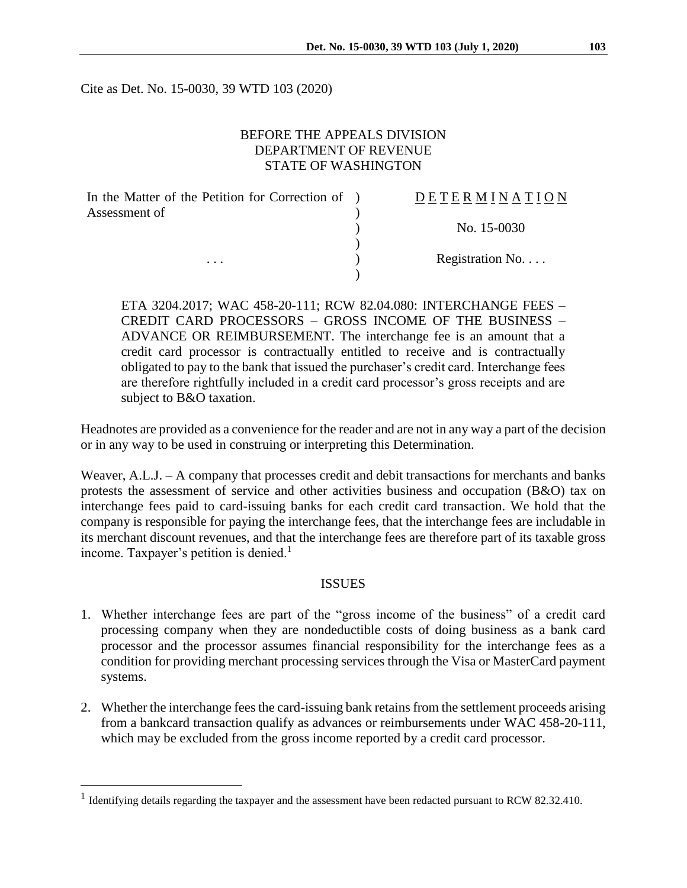Cite as Det. No. 15-0030, 39 WTD 103 (2020)

## BEFORE THE APPEALS DIVISION DEPARTMENT OF REVENUE STATE OF WASHINGTON

| In the Matter of the Petition for Correction of ) | DETERMINATION   |
|---------------------------------------------------|-----------------|
| Assessment of                                     |                 |
|                                                   | No. 15-0030     |
|                                                   |                 |
| $\cdots$                                          | Registration No |
|                                                   |                 |

ETA 3204.2017; WAC 458-20-111; RCW 82.04.080: INTERCHANGE FEES – CREDIT CARD PROCESSORS – GROSS INCOME OF THE BUSINESS – ADVANCE OR REIMBURSEMENT. The interchange fee is an amount that a credit card processor is contractually entitled to receive and is contractually obligated to pay to the bank that issued the purchaser's credit card. Interchange fees are therefore rightfully included in a credit card processor's gross receipts and are subject to B&O taxation.

Headnotes are provided as a convenience for the reader and are not in any way a part of the decision or in any way to be used in construing or interpreting this Determination.

Weaver, A.L.J. – A company that processes credit and debit transactions for merchants and banks protests the assessment of service and other activities business and occupation (B&O) tax on interchange fees paid to card-issuing banks for each credit card transaction. We hold that the company is responsible for paying the interchange fees, that the interchange fees are includable in its merchant discount revenues, and that the interchange fees are therefore part of its taxable gross income. Taxpayer's petition is denied.<sup>1</sup>

### **ISSUES**

- 1. Whether interchange fees are part of the "gross income of the business" of a credit card processing company when they are nondeductible costs of doing business as a bank card processor and the processor assumes financial responsibility for the interchange fees as a condition for providing merchant processing services through the Visa or MasterCard payment systems.
- 2. Whether the interchange fees the card-issuing bank retains from the settlement proceeds arising from a bankcard transaction qualify as advances or reimbursements under WAC 458-20-111, which may be excluded from the gross income reported by a credit card processor.

<sup>&</sup>lt;sup>1</sup> Identifying details regarding the taxpayer and the assessment have been redacted pursuant to RCW 82.32.410.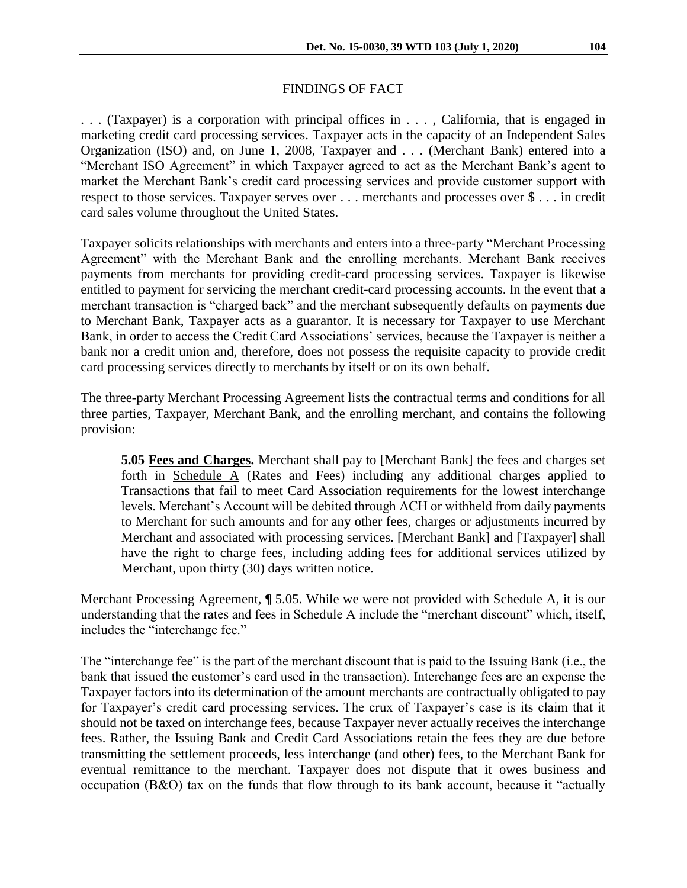### FINDINGS OF FACT

. . . (Taxpayer) is a corporation with principal offices in . . . , California, that is engaged in marketing credit card processing services. Taxpayer acts in the capacity of an Independent Sales Organization (ISO) and, on June 1, 2008, Taxpayer and . . . (Merchant Bank) entered into a "Merchant ISO Agreement" in which Taxpayer agreed to act as the Merchant Bank's agent to market the Merchant Bank's credit card processing services and provide customer support with respect to those services. Taxpayer serves over . . . merchants and processes over \$ . . . in credit card sales volume throughout the United States.

Taxpayer solicits relationships with merchants and enters into a three-party "Merchant Processing Agreement" with the Merchant Bank and the enrolling merchants. Merchant Bank receives payments from merchants for providing credit-card processing services. Taxpayer is likewise entitled to payment for servicing the merchant credit-card processing accounts. In the event that a merchant transaction is "charged back" and the merchant subsequently defaults on payments due to Merchant Bank, Taxpayer acts as a guarantor. It is necessary for Taxpayer to use Merchant Bank, in order to access the Credit Card Associations' services, because the Taxpayer is neither a bank nor a credit union and, therefore, does not possess the requisite capacity to provide credit card processing services directly to merchants by itself or on its own behalf.

The three-party Merchant Processing Agreement lists the contractual terms and conditions for all three parties, Taxpayer, Merchant Bank, and the enrolling merchant, and contains the following provision:

**5.05 Fees and Charges.** Merchant shall pay to [Merchant Bank] the fees and charges set forth in Schedule A (Rates and Fees) including any additional charges applied to Transactions that fail to meet Card Association requirements for the lowest interchange levels. Merchant's Account will be debited through ACH or withheld from daily payments to Merchant for such amounts and for any other fees, charges or adjustments incurred by Merchant and associated with processing services. [Merchant Bank] and [Taxpayer] shall have the right to charge fees, including adding fees for additional services utilized by Merchant, upon thirty (30) days written notice.

Merchant Processing Agreement, ¶ 5.05. While we were not provided with Schedule A, it is our understanding that the rates and fees in Schedule A include the "merchant discount" which, itself, includes the "interchange fee."

The "interchange fee" is the part of the merchant discount that is paid to the Issuing Bank (i.e., the bank that issued the customer's card used in the transaction). Interchange fees are an expense the Taxpayer factors into its determination of the amount merchants are contractually obligated to pay for Taxpayer's credit card processing services. The crux of Taxpayer's case is its claim that it should not be taxed on interchange fees, because Taxpayer never actually receives the interchange fees. Rather, the Issuing Bank and Credit Card Associations retain the fees they are due before transmitting the settlement proceeds, less interchange (and other) fees, to the Merchant Bank for eventual remittance to the merchant. Taxpayer does not dispute that it owes business and occupation (B&O) tax on the funds that flow through to its bank account, because it "actually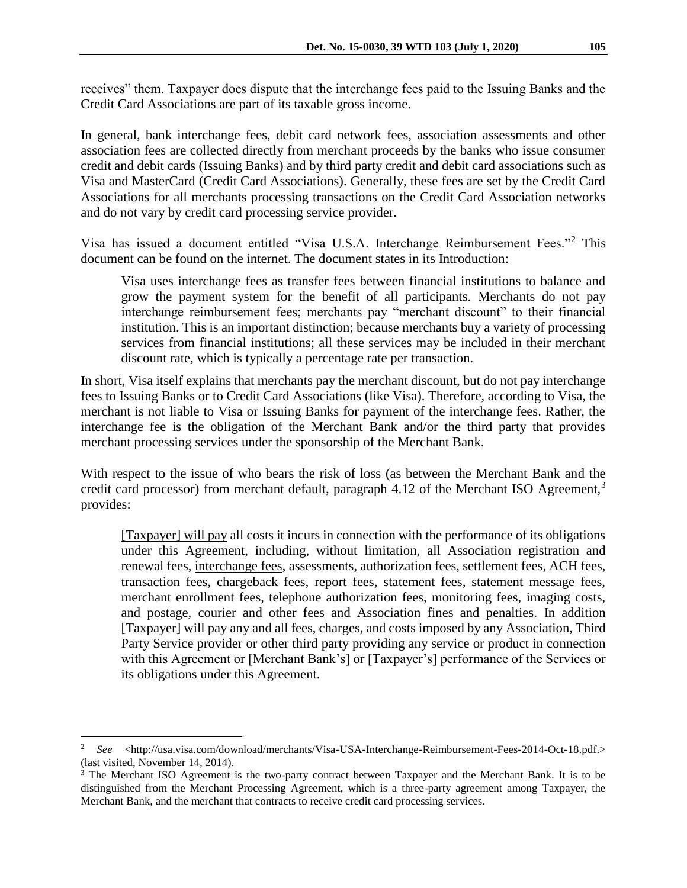receives" them. Taxpayer does dispute that the interchange fees paid to the Issuing Banks and the Credit Card Associations are part of its taxable gross income.

In general, bank interchange fees, debit card network fees, association assessments and other association fees are collected directly from merchant proceeds by the banks who issue consumer credit and debit cards (Issuing Banks) and by third party credit and debit card associations such as Visa and MasterCard (Credit Card Associations). Generally, these fees are set by the Credit Card Associations for all merchants processing transactions on the Credit Card Association networks and do not vary by credit card processing service provider.

Visa has issued a document entitled "Visa U.S.A. Interchange Reimbursement Fees."<sup>2</sup> This document can be found on the internet. The document states in its Introduction:

Visa uses interchange fees as transfer fees between financial institutions to balance and grow the payment system for the benefit of all participants. Merchants do not pay interchange reimbursement fees; merchants pay "merchant discount" to their financial institution. This is an important distinction; because merchants buy a variety of processing services from financial institutions; all these services may be included in their merchant discount rate, which is typically a percentage rate per transaction.

In short, Visa itself explains that merchants pay the merchant discount, but do not pay interchange fees to Issuing Banks or to Credit Card Associations (like Visa). Therefore, according to Visa, the merchant is not liable to Visa or Issuing Banks for payment of the interchange fees. Rather, the interchange fee is the obligation of the Merchant Bank and/or the third party that provides merchant processing services under the sponsorship of the Merchant Bank.

With respect to the issue of who bears the risk of loss (as between the Merchant Bank and the credit card processor) from merchant default, paragraph 4.12 of the Merchant ISO Agreement,<sup>3</sup> provides:

[Taxpayer] will pay all costs it incurs in connection with the performance of its obligations under this Agreement, including, without limitation, all Association registration and renewal fees, interchange fees, assessments, authorization fees, settlement fees, ACH fees, transaction fees, chargeback fees, report fees, statement fees, statement message fees, merchant enrollment fees, telephone authorization fees, monitoring fees, imaging costs, and postage, courier and other fees and Association fines and penalties. In addition [Taxpayer] will pay any and all fees, charges, and costs imposed by any Association, Third Party Service provider or other third party providing any service or product in connection with this Agreement or [Merchant Bank's] or [Taxpayer's] performance of the Services or its obligations under this Agreement.

<sup>2</sup> *See* <http://usa.visa.com/download/merchants/Visa-USA-Interchange-Reimbursement-Fees-2014-Oct-18.pdf.> (last visited, November 14, 2014).

<sup>&</sup>lt;sup>3</sup> The Merchant ISO Agreement is the two-party contract between Taxpayer and the Merchant Bank. It is to be distinguished from the Merchant Processing Agreement, which is a three-party agreement among Taxpayer, the Merchant Bank, and the merchant that contracts to receive credit card processing services.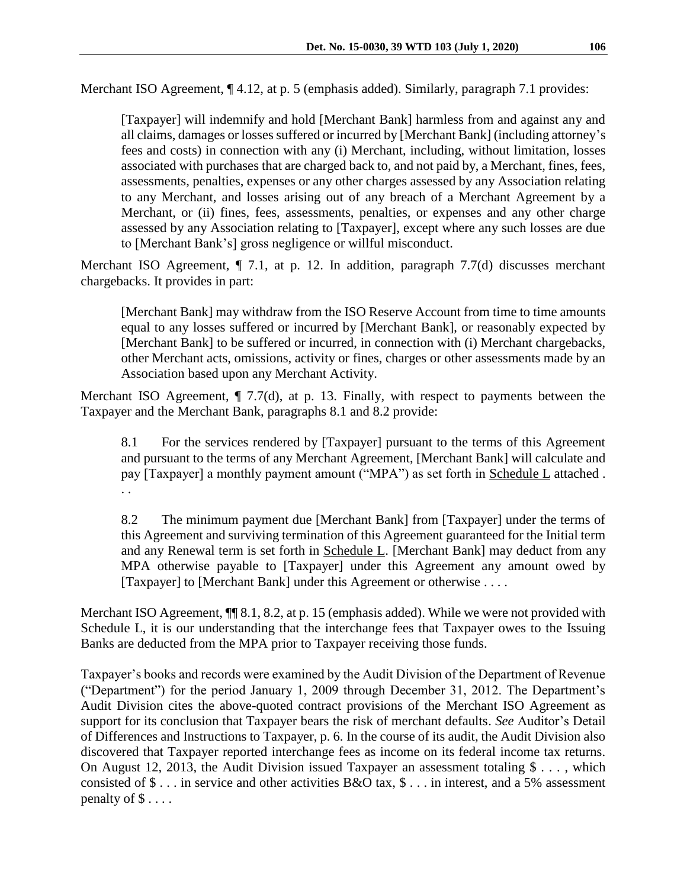Merchant ISO Agreement,  $\P$  4.12, at p. 5 (emphasis added). Similarly, paragraph 7.1 provides:

[Taxpayer] will indemnify and hold [Merchant Bank] harmless from and against any and all claims, damages or losses suffered or incurred by [Merchant Bank] (including attorney's fees and costs) in connection with any (i) Merchant, including, without limitation, losses associated with purchases that are charged back to, and not paid by, a Merchant, fines, fees, assessments, penalties, expenses or any other charges assessed by any Association relating to any Merchant, and losses arising out of any breach of a Merchant Agreement by a Merchant, or (ii) fines, fees, assessments, penalties, or expenses and any other charge assessed by any Association relating to [Taxpayer], except where any such losses are due to [Merchant Bank's] gross negligence or willful misconduct.

Merchant ISO Agreement,  $\P$  7.1, at p. 12. In addition, paragraph 7.7(d) discusses merchant chargebacks. It provides in part:

[Merchant Bank] may withdraw from the ISO Reserve Account from time to time amounts equal to any losses suffered or incurred by [Merchant Bank], or reasonably expected by [Merchant Bank] to be suffered or incurred, in connection with (i) Merchant chargebacks, other Merchant acts, omissions, activity or fines, charges or other assessments made by an Association based upon any Merchant Activity.

Merchant ISO Agreement, ¶ 7.7(d), at p. 13. Finally, with respect to payments between the Taxpayer and the Merchant Bank, paragraphs 8.1 and 8.2 provide:

8.1 For the services rendered by [Taxpayer] pursuant to the terms of this Agreement and pursuant to the terms of any Merchant Agreement, [Merchant Bank] will calculate and pay [Taxpayer] a monthly payment amount ("MPA") as set forth in Schedule L attached. . .

8.2 The minimum payment due [Merchant Bank] from [Taxpayer] under the terms of this Agreement and surviving termination of this Agreement guaranteed for the Initial term and any Renewal term is set forth in Schedule L. [Merchant Bank] may deduct from any MPA otherwise payable to [Taxpayer] under this Agreement any amount owed by [Taxpayer] to [Merchant Bank] under this Agreement or otherwise . . . .

Merchant ISO Agreement,  $\P$  8.1, 8.2, at p. 15 (emphasis added). While we were not provided with Schedule L, it is our understanding that the interchange fees that Taxpayer owes to the Issuing Banks are deducted from the MPA prior to Taxpayer receiving those funds.

Taxpayer's books and records were examined by the Audit Division of the Department of Revenue ("Department") for the period January 1, 2009 through December 31, 2012. The Department's Audit Division cites the above-quoted contract provisions of the Merchant ISO Agreement as support for its conclusion that Taxpayer bears the risk of merchant defaults. *See* Auditor's Detail of Differences and Instructions to Taxpayer, p. 6. In the course of its audit, the Audit Division also discovered that Taxpayer reported interchange fees as income on its federal income tax returns. On August 12, 2013, the Audit Division issued Taxpayer an assessment totaling \$ . . . , which consisted of  $\$\ldots\]$  in service and other activities B&O tax,  $\$\ldots\]$  in interest, and a 5% assessment penalty of  $\$\ldots$ .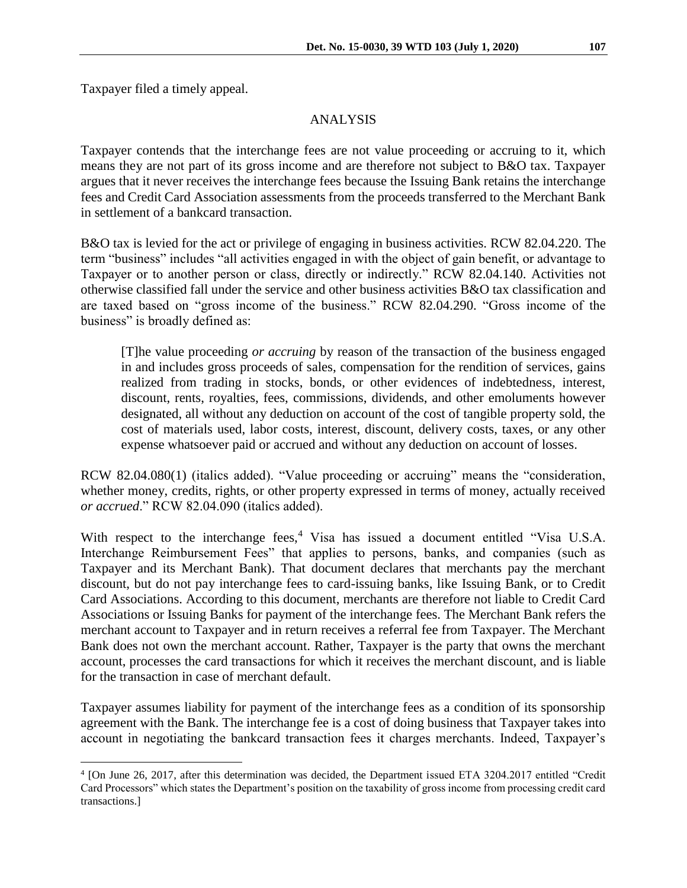Taxpayer filed a timely appeal.

 $\overline{a}$ 

#### ANALYSIS

Taxpayer contends that the interchange fees are not value proceeding or accruing to it, which means they are not part of its gross income and are therefore not subject to B&O tax. Taxpayer argues that it never receives the interchange fees because the Issuing Bank retains the interchange fees and Credit Card Association assessments from the proceeds transferred to the Merchant Bank in settlement of a bankcard transaction.

B&O tax is levied for the act or privilege of engaging in business activities. RCW 82.04.220. The term "business" includes "all activities engaged in with the object of gain benefit, or advantage to Taxpayer or to another person or class, directly or indirectly." RCW 82.04.140. Activities not otherwise classified fall under the service and other business activities B&O tax classification and are taxed based on "gross income of the business." RCW 82.04.290. "Gross income of the business" is broadly defined as:

[T]he value proceeding *or accruing* by reason of the transaction of the business engaged in and includes gross proceeds of sales, compensation for the rendition of services, gains realized from trading in stocks, bonds, or other evidences of indebtedness, interest, discount, rents, royalties, fees, commissions, dividends, and other emoluments however designated, all without any deduction on account of the cost of tangible property sold, the cost of materials used, labor costs, interest, discount, delivery costs, taxes, or any other expense whatsoever paid or accrued and without any deduction on account of losses.

RCW 82.04.080(1) (italics added). "Value proceeding or accruing" means the "consideration, whether money, credits, rights, or other property expressed in terms of money, actually received *or accrued*." RCW 82.04.090 (italics added).

With respect to the interchange fees,<sup>4</sup> Visa has issued a document entitled "Visa U.S.A. Interchange Reimbursement Fees" that applies to persons, banks, and companies (such as Taxpayer and its Merchant Bank). That document declares that merchants pay the merchant discount, but do not pay interchange fees to card-issuing banks, like Issuing Bank, or to Credit Card Associations. According to this document, merchants are therefore not liable to Credit Card Associations or Issuing Banks for payment of the interchange fees. The Merchant Bank refers the merchant account to Taxpayer and in return receives a referral fee from Taxpayer. The Merchant Bank does not own the merchant account. Rather, Taxpayer is the party that owns the merchant account, processes the card transactions for which it receives the merchant discount, and is liable for the transaction in case of merchant default.

Taxpayer assumes liability for payment of the interchange fees as a condition of its sponsorship agreement with the Bank. The interchange fee is a cost of doing business that Taxpayer takes into account in negotiating the bankcard transaction fees it charges merchants. Indeed, Taxpayer's

<sup>4</sup> [On June 26, 2017, after this determination was decided, the Department issued ETA 3204.2017 entitled "Credit Card Processors" which states the Department's position on the taxability of gross income from processing credit card transactions.]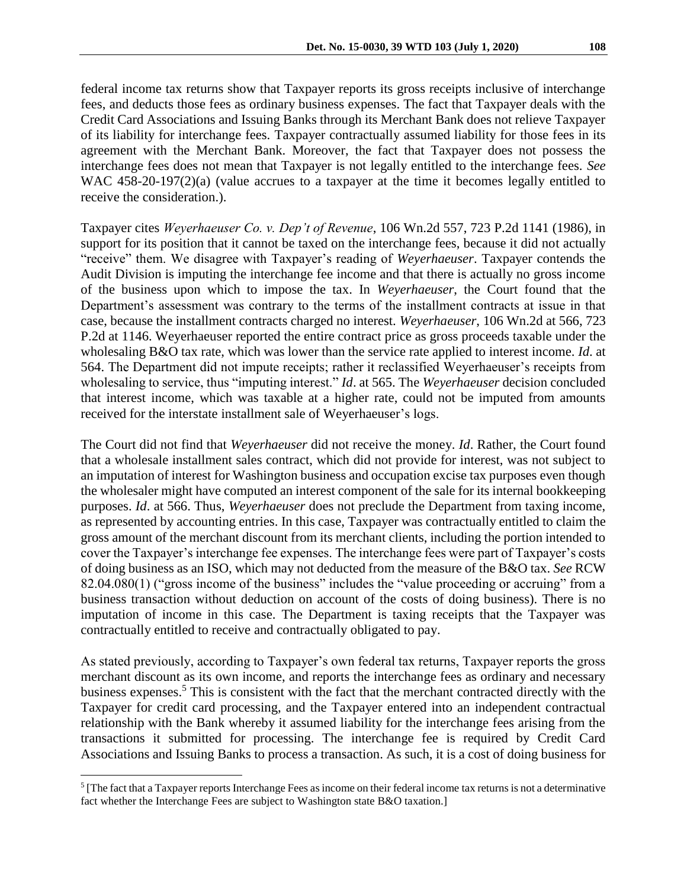federal income tax returns show that Taxpayer reports its gross receipts inclusive of interchange fees, and deducts those fees as ordinary business expenses. The fact that Taxpayer deals with the Credit Card Associations and Issuing Banks through its Merchant Bank does not relieve Taxpayer of its liability for interchange fees. Taxpayer contractually assumed liability for those fees in its agreement with the Merchant Bank. Moreover, the fact that Taxpayer does not possess the interchange fees does not mean that Taxpayer is not legally entitled to the interchange fees. *See*  WAC 458-20-197(2)(a) (value accrues to a taxpayer at the time it becomes legally entitled to receive the consideration.).

Taxpayer cites *Weyerhaeuser Co. v. Dep't of Revenue*, 106 Wn.2d 557, 723 P.2d 1141 (1986), in support for its position that it cannot be taxed on the interchange fees, because it did not actually "receive" them. We disagree with Taxpayer's reading of *Weyerhaeuser*. Taxpayer contends the Audit Division is imputing the interchange fee income and that there is actually no gross income of the business upon which to impose the tax. In *Weyerhaeuser*, the Court found that the Department's assessment was contrary to the terms of the installment contracts at issue in that case, because the installment contracts charged no interest. *Weyerhaeuser*, 106 Wn.2d at 566, 723 P.2d at 1146. Weyerhaeuser reported the entire contract price as gross proceeds taxable under the wholesaling B&O tax rate, which was lower than the service rate applied to interest income. *Id*. at 564. The Department did not impute receipts; rather it reclassified Weyerhaeuser's receipts from wholesaling to service, thus "imputing interest." *Id*. at 565. The *Weyerhaeuser* decision concluded that interest income, which was taxable at a higher rate, could not be imputed from amounts received for the interstate installment sale of Weyerhaeuser's logs.

The Court did not find that *Weyerhaeuser* did not receive the money. *Id*. Rather, the Court found that a wholesale installment sales contract, which did not provide for interest, was not subject to an imputation of interest for Washington business and occupation excise tax purposes even though the wholesaler might have computed an interest component of the sale for its internal bookkeeping purposes. *Id*. at 566. Thus, *Weyerhaeuser* does not preclude the Department from taxing income, as represented by accounting entries. In this case, Taxpayer was contractually entitled to claim the gross amount of the merchant discount from its merchant clients, including the portion intended to cover the Taxpayer's interchange fee expenses. The interchange fees were part of Taxpayer's costs of doing business as an ISO, which may not deducted from the measure of the B&O tax. *See* RCW 82.04.080(1) ("gross income of the business" includes the "value proceeding or accruing" from a business transaction without deduction on account of the costs of doing business). There is no imputation of income in this case. The Department is taxing receipts that the Taxpayer was contractually entitled to receive and contractually obligated to pay.

As stated previously, according to Taxpayer's own federal tax returns, Taxpayer reports the gross merchant discount as its own income, and reports the interchange fees as ordinary and necessary business expenses.<sup>5</sup> This is consistent with the fact that the merchant contracted directly with the Taxpayer for credit card processing, and the Taxpayer entered into an independent contractual relationship with the Bank whereby it assumed liability for the interchange fees arising from the transactions it submitted for processing. The interchange fee is required by Credit Card Associations and Issuing Banks to process a transaction. As such, it is a cost of doing business for

 $<sup>5</sup>$  [The fact that a Taxpayer reports Interchange Fees as income on their federal income tax returns is not a determinative</sup> fact whether the Interchange Fees are subject to Washington state B&O taxation.]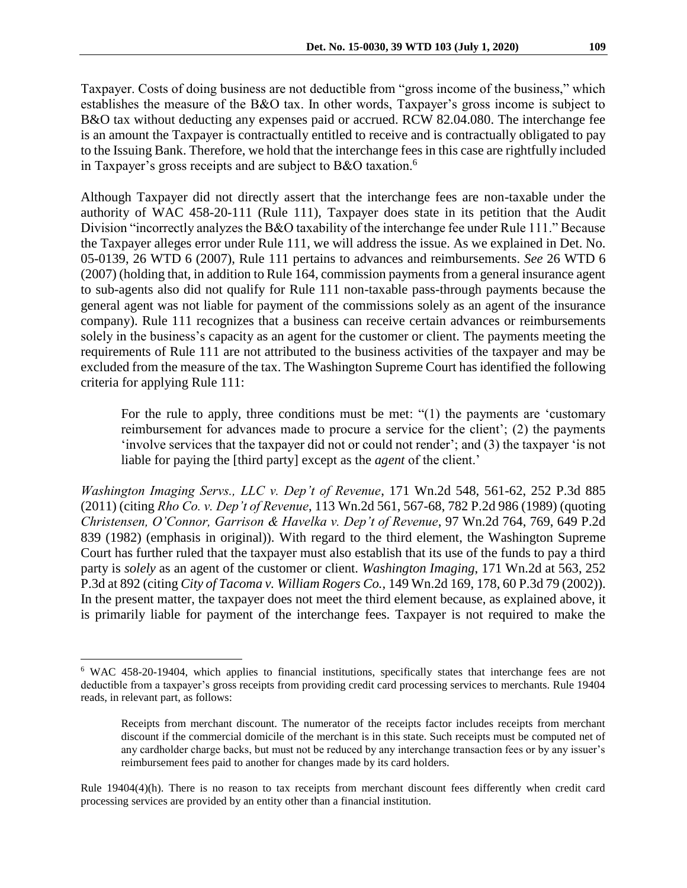Taxpayer. Costs of doing business are not deductible from "gross income of the business," which establishes the measure of the B&O tax. In other words, Taxpayer's gross income is subject to B&O tax without deducting any expenses paid or accrued. RCW 82.04.080. The interchange fee is an amount the Taxpayer is contractually entitled to receive and is contractually obligated to pay to the Issuing Bank. Therefore, we hold that the interchange fees in this case are rightfully included in Taxpayer's gross receipts and are subject to B&O taxation.<sup>6</sup>

Although Taxpayer did not directly assert that the interchange fees are non-taxable under the authority of WAC 458-20-111 (Rule 111), Taxpayer does state in its petition that the Audit Division "incorrectly analyzes the B&O taxability of the interchange fee under Rule 111." Because the Taxpayer alleges error under Rule 111, we will address the issue. As we explained in Det. No. 05-0139, 26 WTD 6 (2007), Rule 111 pertains to advances and reimbursements. *See* 26 WTD 6 (2007) (holding that, in addition to Rule 164, commission payments from a general insurance agent to sub-agents also did not qualify for Rule 111 non-taxable pass-through payments because the general agent was not liable for payment of the commissions solely as an agent of the insurance company). Rule 111 recognizes that a business can receive certain advances or reimbursements solely in the business's capacity as an agent for the customer or client. The payments meeting the requirements of Rule 111 are not attributed to the business activities of the taxpayer and may be excluded from the measure of the tax. The Washington Supreme Court has identified the following criteria for applying Rule 111:

For the rule to apply, three conditions must be met: "(1) the payments are 'customary reimbursement for advances made to procure a service for the client'; (2) the payments 'involve services that the taxpayer did not or could not render'; and (3) the taxpayer 'is not liable for paying the [third party] except as the *agent* of the client.'

*Washington Imaging Servs., LLC v. Dep't of Revenue*, 171 Wn.2d 548, 561-62, 252 P.3d 885 (2011) (citing *Rho Co. v. Dep't of Revenue*, 113 Wn.2d 561, 567-68, 782 P.2d 986 (1989) (quoting *Christensen, O'Connor, Garrison & Havelka v. Dep't of Revenue*, 97 Wn.2d 764, 769, 649 P.2d 839 (1982) (emphasis in original)). With regard to the third element, the Washington Supreme Court has further ruled that the taxpayer must also establish that its use of the funds to pay a third party is *solely* as an agent of the customer or client. *Washington Imaging*, 171 Wn.2d at 563, 252 P.3d at 892 (citing *City of Tacoma v. William Rogers Co.,* 149 Wn.2d 169, 178, 60 P.3d 79 (2002)). In the present matter, the taxpayer does not meet the third element because, as explained above, it is primarily liable for payment of the interchange fees. Taxpayer is not required to make the

<sup>6</sup> WAC 458-20-19404, which applies to financial institutions, specifically states that interchange fees are not deductible from a taxpayer's gross receipts from providing credit card processing services to merchants. Rule 19404 reads, in relevant part, as follows:

Receipts from merchant discount. The numerator of the receipts factor includes receipts from merchant discount if the commercial domicile of the merchant is in this state. Such receipts must be computed net of any cardholder charge backs, but must not be reduced by any interchange transaction fees or by any issuer's reimbursement fees paid to another for changes made by its card holders.

Rule 19404(4)(h). There is no reason to tax receipts from merchant discount fees differently when credit card processing services are provided by an entity other than a financial institution.